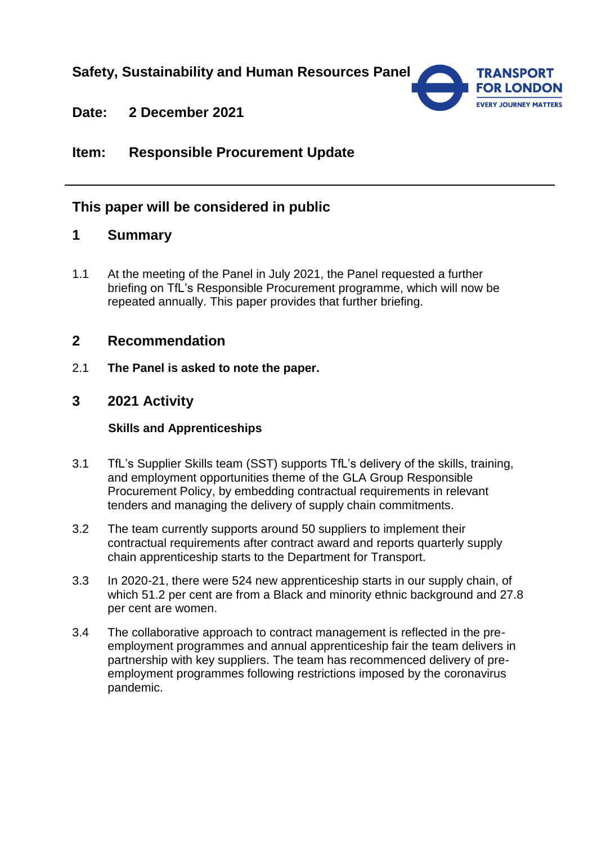# **Safety, Sustainability and Human Resources Panel**



# **Date: 2 December 2021**

# **Item: Responsible Procurement Update**

## **This paper will be considered in public**

## **1 Summary**

1.1 At the meeting of the Panel in July 2021, the Panel requested a further briefing on TfL's Responsible Procurement programme, which will now be repeated annually. This paper provides that further briefing.

## **2 Recommendation**

2.1 **The Panel is asked to note the paper.**

### **3 2021 Activity**

#### **Skills and Apprenticeships**

- 3.1 TfL's Supplier Skills team (SST) supports TfL's delivery of the skills, training, and employment opportunities theme of the GLA Group Responsible Procurement Policy, by embedding contractual requirements in relevant tenders and managing the delivery of supply chain commitments.
- 3.2 The team currently supports around 50 suppliers to implement their contractual requirements after contract award and reports quarterly supply chain apprenticeship starts to the Department for Transport.
- 3.3 In 2020-21, there were 524 new apprenticeship starts in our supply chain, of which 51.2 per cent are from a Black and minority ethnic background and 27.8 per cent are women.
- 3.4 The collaborative approach to contract management is reflected in the preemployment programmes and annual apprenticeship fair the team delivers in partnership with key suppliers. The team has recommenced delivery of preemployment programmes following restrictions imposed by the coronavirus pandemic.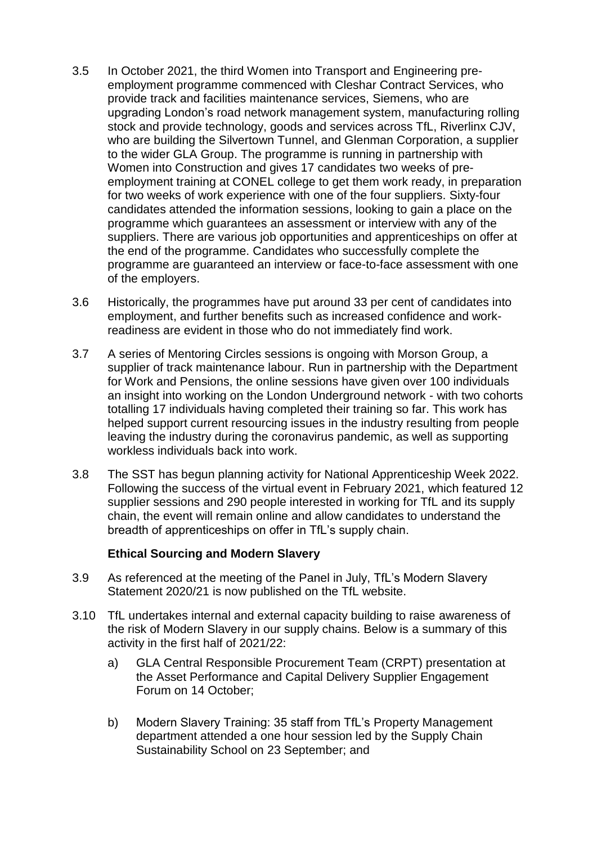- 3.5 In October 2021, the third Women into Transport and Engineering preemployment programme commenced with Cleshar Contract Services, who provide track and facilities maintenance services, Siemens, who are upgrading London's road network management system, manufacturing rolling stock and provide technology, goods and services across TfL, Riverlinx CJV, who are building the Silvertown Tunnel, and Glenman Corporation, a supplier to the wider GLA Group. The programme is running in partnership with Women into Construction and gives 17 candidates two weeks of preemployment training at CONEL college to get them work ready, in preparation for two weeks of work experience with one of the four suppliers. Sixty-four candidates attended the information sessions, looking to gain a place on the programme which guarantees an assessment or interview with any of the suppliers. There are various job opportunities and apprenticeships on offer at the end of the programme. Candidates who successfully complete the programme are guaranteed an interview or face-to-face assessment with one of the employers.
- 3.6 Historically, the programmes have put around 33 per cent of candidates into employment, and further benefits such as increased confidence and workreadiness are evident in those who do not immediately find work.
- 3.7 A series of Mentoring Circles sessions is ongoing with Morson Group, a supplier of track maintenance labour. Run in partnership with the Department for Work and Pensions, the online sessions have given over 100 individuals an insight into working on the London Underground network - with two cohorts totalling 17 individuals having completed their training so far. This work has helped support current resourcing issues in the industry resulting from people leaving the industry during the coronavirus pandemic, as well as supporting workless individuals back into work.
- 3.8 The SST has begun planning activity for National Apprenticeship Week 2022. Following the success of the virtual event in February 2021, which featured 12 supplier sessions and 290 people interested in working for TfL and its supply chain, the event will remain online and allow candidates to understand the breadth of apprenticeships on offer in TfL's supply chain.

#### **Ethical Sourcing and Modern Slavery**

- 3.9 As referenced at the meeting of the Panel in July, TfL's Modern Slavery Statement 2020/21 is now published on the TfL website.
- 3.10 TfL undertakes internal and external capacity building to raise awareness of the risk of Modern Slavery in our supply chains. Below is a summary of this activity in the first half of 2021/22:
	- a) GLA Central Responsible Procurement Team (CRPT) presentation at the Asset Performance and Capital Delivery Supplier Engagement Forum on 14 October;
	- b) Modern Slavery Training: 35 staff from TfL's Property Management department attended a one hour session led by the Supply Chain Sustainability School on 23 September; and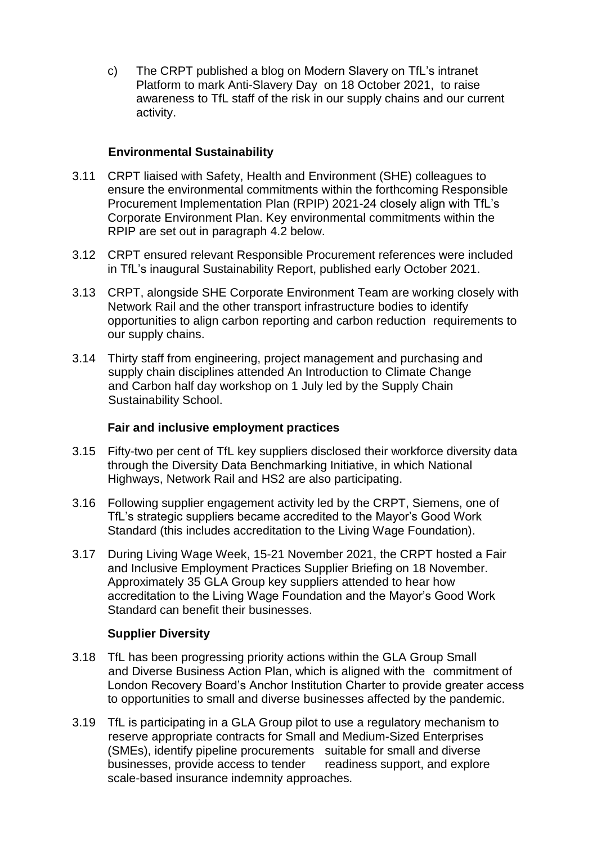c) The CRPT published a blog on Modern Slavery on TfL's intranet Platform to mark Anti-Slavery Day on 18 October 2021, to raise awareness to TfL staff of the risk in our supply chains and our current activity.

### **Environmental Sustainability**

- 3.11 CRPT liaised with Safety, Health and Environment (SHE) colleagues to ensure the environmental commitments within the forthcoming Responsible Procurement Implementation Plan (RPIP) 2021-24 closely align with TfL's Corporate Environment Plan. Key environmental commitments within the RPIP are set out in paragraph 4.2 below.
- 3.12 CRPT ensured relevant Responsible Procurement references were included in TfL's inaugural Sustainability Report, published early October 2021.
- 3.13 CRPT, alongside SHE Corporate Environment Team are working closely with Network Rail and the other transport infrastructure bodies to identify opportunities to align carbon reporting and carbon reduction requirements to our supply chains.
- 3.14 Thirty staff from engineering, project management and purchasing and supply chain disciplines attended An Introduction to Climate Change and Carbon half day workshop on 1 July led by the Supply Chain Sustainability School.

#### **Fair and inclusive employment practices**

- 3.15 Fifty-two per cent of TfL key suppliers disclosed their workforce diversity data through the Diversity Data Benchmarking Initiative, in which National Highways, Network Rail and HS2 are also participating.
- 3.16 Following supplier engagement activity led by the CRPT, Siemens, one of TfL's strategic suppliers became accredited to the Mayor's Good Work Standard (this includes accreditation to the Living Wage Foundation).
- 3.17 During Living Wage Week, 15-21 November 2021, the CRPT hosted a Fair and Inclusive Employment Practices Supplier Briefing on 18 November. Approximately 35 GLA Group key suppliers attended to hear how accreditation to the Living Wage Foundation and the Mayor's Good Work Standard can benefit their businesses.

### **Supplier Diversity**

- 3.18 TfL has been progressing priority actions within the GLA Group Small and Diverse Business Action Plan, which is aligned with the commitment of London Recovery Board's Anchor Institution Charter to provide greater access to opportunities to small and diverse businesses affected by the pandemic.
- 3.19 TfL is participating in a GLA Group pilot to use a regulatory mechanism to reserve appropriate contracts for Small and Medium-Sized Enterprises (SMEs), identify pipeline procurements suitable for small and diverse businesses, provide access to tender readiness support, and explore scale-based insurance indemnity approaches.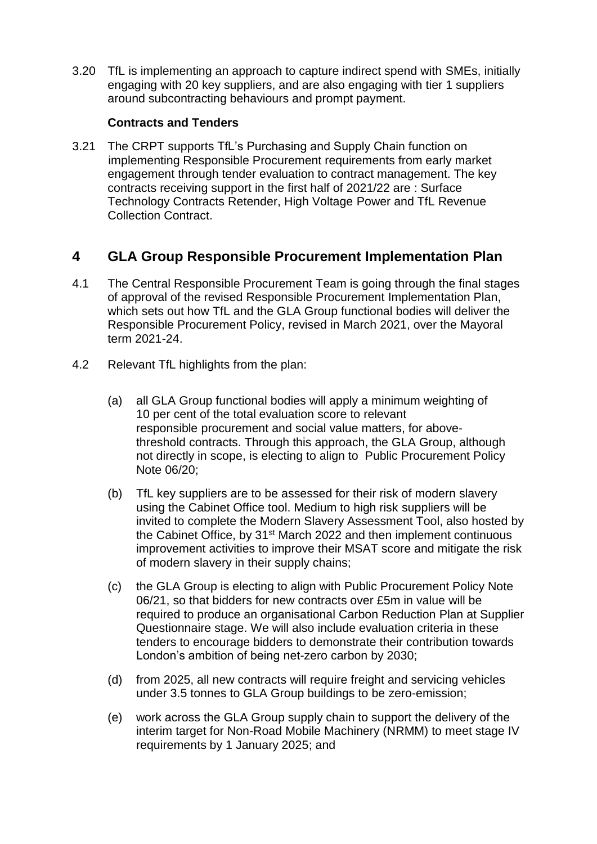3.20 TfL is implementing an approach to capture indirect spend with SMEs, initially engaging with 20 key suppliers, and are also engaging with tier 1 suppliers around subcontracting behaviours and prompt payment.

### **Contracts and Tenders**

3.21 The CRPT supports TfL's Purchasing and Supply Chain function on implementing Responsible Procurement requirements from early market engagement through tender evaluation to contract management. The key contracts receiving support in the first half of 2021/22 are : Surface Technology Contracts Retender, High Voltage Power and TfL Revenue Collection Contract.

# **4 GLA Group Responsible Procurement Implementation Plan**

- 4.1 The Central Responsible Procurement Team is going through the final stages of approval of the revised Responsible Procurement Implementation Plan, which sets out how TfL and the GLA Group functional bodies will deliver the Responsible Procurement Policy, revised in March 2021, over the Mayoral term 2021-24.
- 4.2 Relevant TfL highlights from the plan:
	- (a) all GLA Group functional bodies will apply a minimum weighting of 10 per cent of the total evaluation score to relevant responsible procurement and social value matters, for abovethreshold contracts. Through this approach, the GLA Group, although not directly in scope, is electing to align to Public Procurement Policy Note 06/20;
	- (b) TfL key suppliers are to be assessed for their risk of modern slavery using the Cabinet Office tool. Medium to high risk suppliers will be invited to complete the Modern Slavery Assessment Tool, also hosted by the Cabinet Office, by 31<sup>st</sup> March 2022 and then implement continuous improvement activities to improve their MSAT score and mitigate the risk of modern slavery in their supply chains;
	- (c) the GLA Group is electing to align with Public Procurement Policy Note 06/21, so that bidders for new contracts over £5m in value will be required to produce an organisational Carbon Reduction Plan at Supplier Questionnaire stage. We will also include evaluation criteria in these tenders to encourage bidders to demonstrate their contribution towards London's ambition of being net-zero carbon by 2030;
	- (d) from 2025, all new contracts will require freight and servicing vehicles under 3.5 tonnes to GLA Group buildings to be zero-emission;
	- (e) work across the GLA Group supply chain to support the delivery of the interim target for Non-Road Mobile Machinery (NRMM) to meet stage IV requirements by 1 January 2025; and